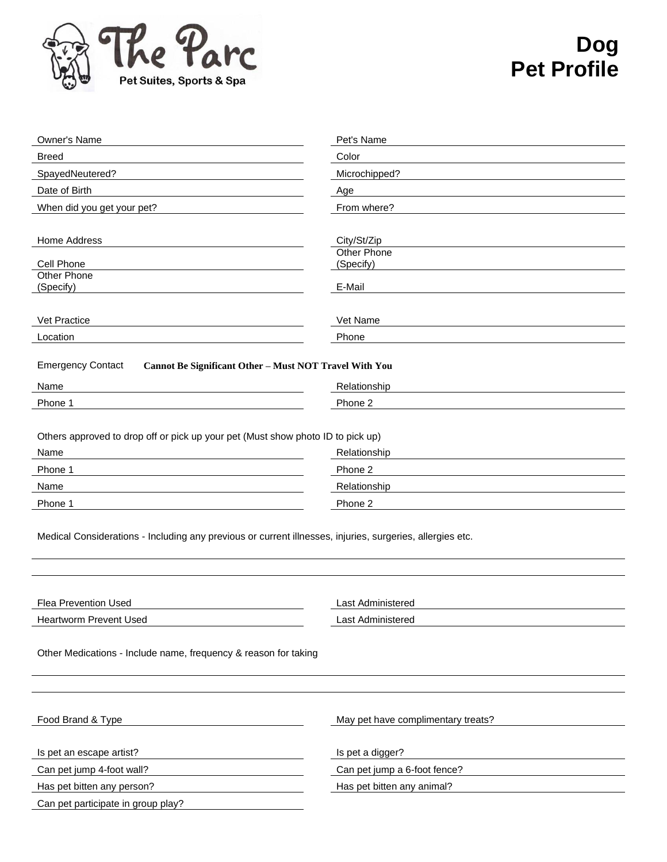

## **Dog Pet Profile**

| Owner's Name                                                                                              | Pet's Name                         |  |  |  |  |
|-----------------------------------------------------------------------------------------------------------|------------------------------------|--|--|--|--|
| <b>Breed</b>                                                                                              | Color                              |  |  |  |  |
| SpayedNeutered?                                                                                           | Microchipped?                      |  |  |  |  |
| Date of Birth                                                                                             | Age                                |  |  |  |  |
| When did you get your pet?                                                                                | From where?                        |  |  |  |  |
|                                                                                                           |                                    |  |  |  |  |
| Home Address                                                                                              | City/St/Zip                        |  |  |  |  |
| Cell Phone                                                                                                | <b>Other Phone</b><br>(Specify)    |  |  |  |  |
| <b>Other Phone</b>                                                                                        |                                    |  |  |  |  |
| (Specify)                                                                                                 | E-Mail                             |  |  |  |  |
|                                                                                                           |                                    |  |  |  |  |
| Vet Practice                                                                                              | Vet Name                           |  |  |  |  |
| Location                                                                                                  | Phone                              |  |  |  |  |
| <b>Emergency Contact</b><br>Cannot Be Significant Other - Must NOT Travel With You                        |                                    |  |  |  |  |
|                                                                                                           |                                    |  |  |  |  |
| Name                                                                                                      | Relationship                       |  |  |  |  |
| Phone 1                                                                                                   | Phone 2                            |  |  |  |  |
|                                                                                                           |                                    |  |  |  |  |
| Others approved to drop off or pick up your pet (Must show photo ID to pick up)                           |                                    |  |  |  |  |
| Name                                                                                                      | Relationship                       |  |  |  |  |
| Phone 1                                                                                                   | Phone 2                            |  |  |  |  |
| Name                                                                                                      | Relationship                       |  |  |  |  |
| Phone 1                                                                                                   | Phone 2                            |  |  |  |  |
|                                                                                                           |                                    |  |  |  |  |
| Medical Considerations - Including any previous or current illnesses, injuries, surgeries, allergies etc. |                                    |  |  |  |  |
|                                                                                                           |                                    |  |  |  |  |
|                                                                                                           |                                    |  |  |  |  |
|                                                                                                           |                                    |  |  |  |  |
| Flea Prevention Used                                                                                      | <b>Last Administered</b>           |  |  |  |  |
| <b>Heartworm Prevent Used</b>                                                                             | Last Administered                  |  |  |  |  |
|                                                                                                           |                                    |  |  |  |  |
| Other Medications - Include name, frequency & reason for taking                                           |                                    |  |  |  |  |
|                                                                                                           |                                    |  |  |  |  |
|                                                                                                           |                                    |  |  |  |  |
|                                                                                                           |                                    |  |  |  |  |
| Food Brand & Type                                                                                         | May pet have complimentary treats? |  |  |  |  |
|                                                                                                           |                                    |  |  |  |  |
| Is pet an escape artist?                                                                                  | Is pet a digger?                   |  |  |  |  |
| Can pet jump 4-foot wall?                                                                                 | Can pet jump a 6-foot fence?       |  |  |  |  |
| Has pet bitten any person?                                                                                | Has pet bitten any animal?         |  |  |  |  |
| Can pet participate in group play?                                                                        |                                    |  |  |  |  |